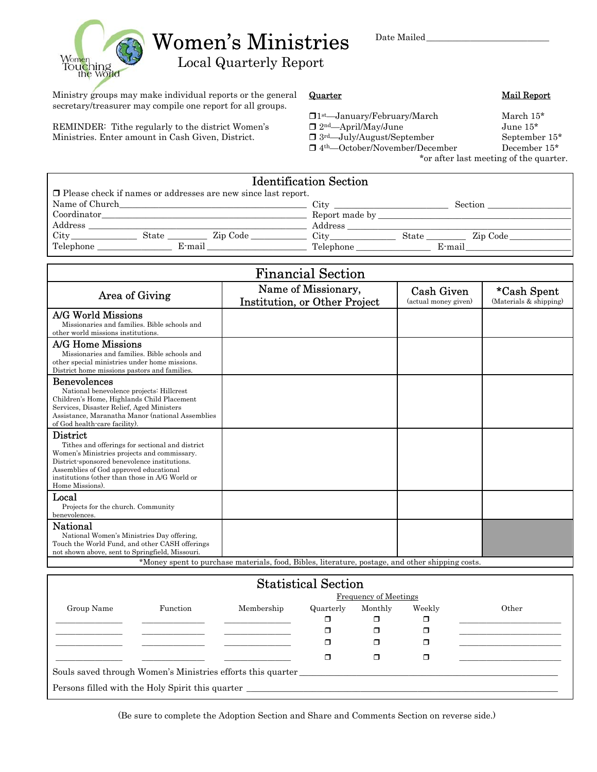Date Mailed\_\_\_\_\_\_\_\_\_\_\_\_\_\_\_\_\_\_\_\_\_\_\_\_\_\_\_\_



Women's Ministries

Local Quarterly Report

Ministry groups may make individual reports or the general secretary/treasurer may compile one report for all groups.

REMINDER: Tithe regularly to the district Women's Ministries. Enter amount in Cash Given, District.

#### **Quarter Mail Report**

- $\Box$  1st—January/February/March March 15\*
- $\Box$  2<sup>nd</sup>—April/May/June 35\*
- $\begin{array}{ll}\n\Box \, 3^{\text{rd}} \text{July/August/September} & \text{September } 15^* \\
\Box \, 4^{\text{th}} \text{October/November/December} & \text{December } 15^* \\
\end{array}$
- $\Box$ <br/> $4^{\text{th}}$ —October/November/December

\*or after last meeting of the quarter.

| <b>Identification Section</b>                                        |                           |  |  |  |  |  |  |
|----------------------------------------------------------------------|---------------------------|--|--|--|--|--|--|
| $\Box$ Please check if names or addresses are new since last report. |                           |  |  |  |  |  |  |
| Name of Church                                                       | City<br>Section           |  |  |  |  |  |  |
| Coordinator                                                          | Report made by            |  |  |  |  |  |  |
| Address                                                              | Address                   |  |  |  |  |  |  |
| City<br>State<br>Zip Code                                            | City<br>State<br>Zip Code |  |  |  |  |  |  |
| Telephone<br>E-mail                                                  | Telephone<br>E-mail       |  |  |  |  |  |  |
|                                                                      |                           |  |  |  |  |  |  |

| <b>Financial Section</b>                                                                                                                                                                                                                                                         |                                                                                                  |                                           |                                       |  |
|----------------------------------------------------------------------------------------------------------------------------------------------------------------------------------------------------------------------------------------------------------------------------------|--------------------------------------------------------------------------------------------------|-------------------------------------------|---------------------------------------|--|
| Area of Giving                                                                                                                                                                                                                                                                   | Name of Missionary,<br>Institution, or Other Project                                             | <b>Cash Given</b><br>(actual money given) | *Cash Spent<br>(Materials & shipping) |  |
| A/G World Missions<br>Missionaries and families. Bible schools and<br>other world missions institutions.                                                                                                                                                                         |                                                                                                  |                                           |                                       |  |
| A/G Home Missions<br>Missionaries and families. Bible schools and<br>other special ministries under home missions.<br>District home missions pastors and families.                                                                                                               |                                                                                                  |                                           |                                       |  |
| <b>Benevolences</b><br>National benevolence projects: Hillcrest<br>Children's Home, Highlands Child Placement<br>Services, Disaster Relief, Aged Ministers<br>Assistance, Maranatha Manor (national Assemblies<br>of God health-care facility).                                  |                                                                                                  |                                           |                                       |  |
| <b>District</b><br>Tithes and offerings for sectional and district<br>Women's Ministries projects and commissary.<br>District-sponsored benevolence institutions.<br>Assemblies of God approved educational<br>institutions (other than those in A/G World or<br>Home Missions). |                                                                                                  |                                           |                                       |  |
| Local<br>Projects for the church. Community<br>benevolences.                                                                                                                                                                                                                     |                                                                                                  |                                           |                                       |  |
| National<br>National Women's Ministries Day offering,<br>Touch the World Fund, and other CASH offerings<br>not shown above, sent to Springfield, Missouri.                                                                                                                       |                                                                                                  |                                           |                                       |  |
|                                                                                                                                                                                                                                                                                  | *Money spent to purchase materials, food, Bibles, literature, postage, and other shipping costs. |                                           |                                       |  |

| <b>Statistical Section</b>                                                        |          |                              |           |         |        |       |  |
|-----------------------------------------------------------------------------------|----------|------------------------------|-----------|---------|--------|-------|--|
|                                                                                   |          | <b>Frequency of Meetings</b> |           |         |        |       |  |
| Group Name                                                                        | Function | Membership                   | Quarterly | Monthly | Weekly | Other |  |
|                                                                                   |          |                              |           |         | ◻      |       |  |
|                                                                                   |          |                              |           |         | ◻      |       |  |
|                                                                                   |          |                              |           |         | σ      |       |  |
|                                                                                   |          |                              |           |         | σ      |       |  |
| Souls saved through Women's Ministries efforts this quarter                       |          |                              |           |         |        |       |  |
| Persons filled with the Holy Spirit this quarter ________________________________ |          |                              |           |         |        |       |  |

(Be sure to complete the Adoption Section and Share and Comments Section on reverse side.)